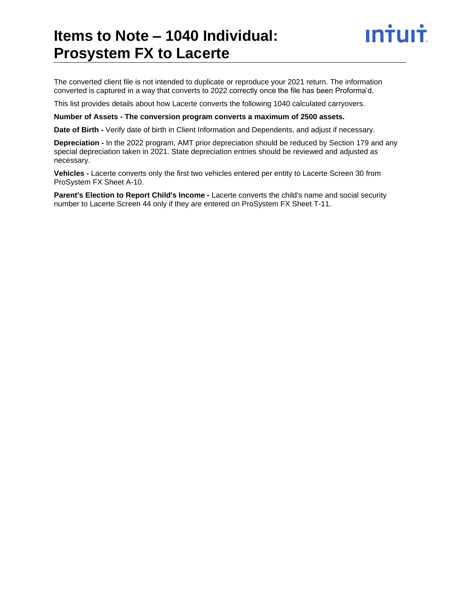### **Items to Note – 1040 Individual: Prosystem FX to Lacerte**



The converted client file is not intended to duplicate or reproduce your 2021 return. The information converted is captured in a way that converts to 2022 correctly once the file has been Proforma'd.

This list provides details about how Lacerte converts the following 1040 calculated carryovers.

**Number of Assets - The conversion program converts a maximum of 2500 assets.**

**Date of Birth -** Verify date of birth in Client Information and Dependents, and adjust if necessary.

**Depreciation -** In the 2022 program, AMT prior depreciation should be reduced by Section 179 and any special depreciation taken in 2021. State depreciation entries should be reviewed and adjusted as necessary.

**Vehicles -** Lacerte converts only the first two vehicles entered per entity to Lacerte Screen 30 from ProSystem FX Sheet A-10.

**Parent's Election to Report Child's Income -** Lacerte converts the child's name and social security number to Lacerte Screen 44 only if they are entered on ProSystem FX Sheet T-11.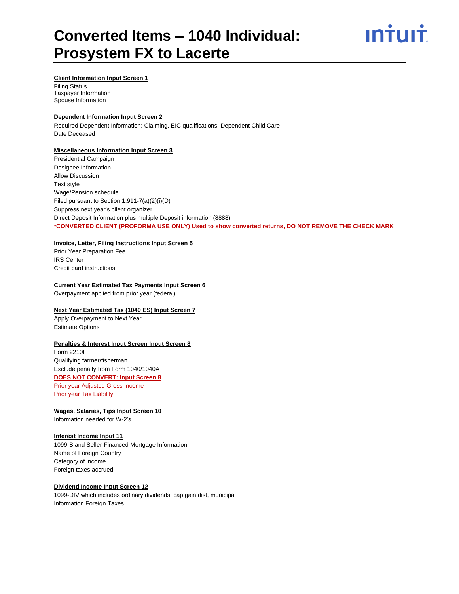

#### **Client Information Input Screen 1**

Filing Status Taxpayer Information Spouse Information

#### **Dependent Information Input Screen 2**

Required Dependent Information: Claiming, EIC qualifications, Dependent Child Care Date Deceased

#### **Miscellaneous Information Input Screen 3**

Presidential Campaign Designee Information Allow Discussion Text style Wage/Pension schedule Filed pursuant to Section 1.911-7(a)(2)(i)(D) Suppress next year's client organizer Direct Deposit Information plus multiple Deposit information (8888) **\*CONVERTED CLIENT (PROFORMA USE ONLY) Used to show converted returns, DO NOT REMOVE THE CHECK MARK**

#### **Invoice, Letter, Filing Instructions Input Screen 5**

Prior Year Preparation Fee IRS Center Credit card instructions

#### **Current Year Estimated Tax Payments Input Screen 6**

Overpayment applied from prior year (federal)

#### **Next Year Estimated Tax (1040 ES) Input Screen 7**

Apply Overpayment to Next Year Estimate Options

#### **Penalties & Interest Input Screen Input Screen 8**

Form 2210F Qualifying farmer/fisherman Exclude penalty from Form 1040/1040A **DOES NOT CONVERT: Input Screen 8** Prior year Adjusted Gross Income Prior year Tax Liability

**Wages, Salaries, Tips Input Screen 10** Information needed for W-2's

#### **Interest Income Input 11**

1099-B and Seller-Financed Mortgage Information Name of Foreign Country Category of income Foreign taxes accrued

#### **Dividend Income Input Screen 12**

1099-DIV which includes ordinary dividends, cap gain dist, municipal Information Foreign Taxes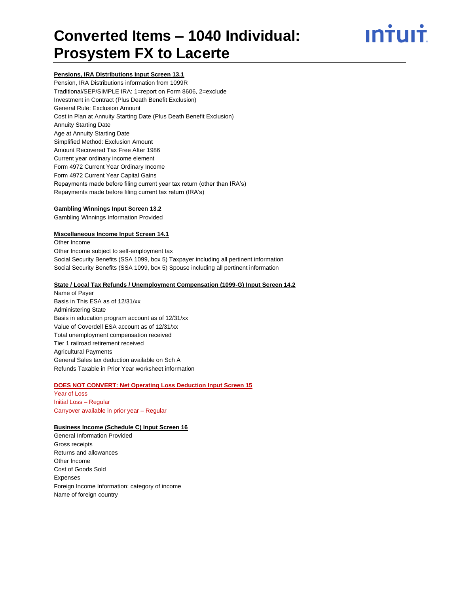## ın<del>i</del>uı<del>i</del>

#### **Pensions, IRA Distributions Input Screen 13.1**

Pension, IRA Distributions information from 1099R Traditional/SEP/SIMPLE IRA: 1=report on Form 8606, 2=exclude Investment in Contract (Plus Death Benefit Exclusion) General Rule: Exclusion Amount Cost in Plan at Annuity Starting Date (Plus Death Benefit Exclusion) Annuity Starting Date Age at Annuity Starting Date Simplified Method: Exclusion Amount Amount Recovered Tax Free After 1986 Current year ordinary income element Form 4972 Current Year Ordinary Income Form 4972 Current Year Capital Gains Repayments made before filing current year tax return (other than IRA's) Repayments made before filing current tax return (IRA's)

#### **Gambling Winnings Input Screen 13.2**

Gambling Winnings Information Provided

#### **Miscellaneous Income Input Screen 14.1**

Other Income Other Income subject to self-employment tax Social Security Benefits (SSA 1099, box 5) Taxpayer including all pertinent information Social Security Benefits (SSA 1099, box 5) Spouse including all pertinent information

#### **State / Local Tax Refunds / Unemployment Compensation (1099-G) Input Screen 14.2**

Name of Payer Basis in This ESA as of 12/31/xx Administering State Basis in education program account as of 12/31/xx Value of Coverdell ESA account as of 12/31/xx Total unemployment compensation received Tier 1 railroad retirement received Agricultural Payments General Sales tax deduction available on Sch A Refunds Taxable in Prior Year worksheet information

#### **DOES NOT CONVERT: Net Operating Loss Deduction Input Screen 15**

Year of Loss Initial Loss – Regular Carryover available in prior year – Regular

#### **Business Income (Schedule C) Input Screen 16**

General Information Provided Gross receipts Returns and allowances Other Income Cost of Goods Sold Expenses Foreign Income Information: category of income Name of foreign country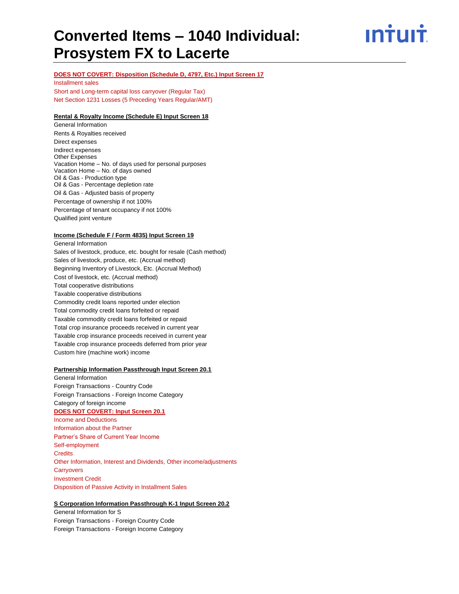ın†uı†

#### **DOES NOT COVERT: Disposition (Schedule D, 4797, Etc.) Input Screen 17**

Installment sales

Short and Long-term capital loss carryover (Regular Tax) Net Section 1231 Losses (5 Preceding Years Regular/AMT)

#### **Rental & Royalty Income (Schedule E) Input Screen 18**

General Information Rents & Royalties received Direct expenses Indirect expenses Other Expenses Vacation Home – No. of days used for personal purposes Vacation Home – No. of days owned Oil & Gas - Production type Oil & Gas - Percentage depletion rate Oil & Gas - Adjusted basis of property Percentage of ownership if not 100% Percentage of tenant occupancy if not 100% Qualified joint venture

#### **Income (Schedule F / Form 4835) Input Screen 19**

General Information Sales of livestock, produce, etc. bought for resale (Cash method) Sales of livestock, produce, etc. (Accrual method) Beginning Inventory of Livestock, Etc. (Accrual Method) Cost of livestock, etc. (Accrual method) Total cooperative distributions Taxable cooperative distributions Commodity credit loans reported under election Total commodity credit loans forfeited or repaid Taxable commodity credit loans forfeited or repaid Total crop insurance proceeds received in current year Taxable crop insurance proceeds received in current year Taxable crop insurance proceeds deferred from prior year Custom hire (machine work) income

#### **Partnership Information Passthrough Input Screen 20.1**

General Information Foreign Transactions - Country Code Foreign Transactions - Foreign Income Category Category of foreign income **DOES NOT COVERT: Input Screen 20.1** Income and Deductions Information about the Partner Partner's Share of Current Year Income Self-employment **Credits** Other Information, Interest and Dividends, Other income/adjustments **Carryovers** Investment Credit Disposition of Passive Activity in Installment Sales

#### **S Corporation Information Passthrough K-1 Input Screen 20.2**

General Information for S Foreign Transactions - Foreign Country Code Foreign Transactions - Foreign Income Category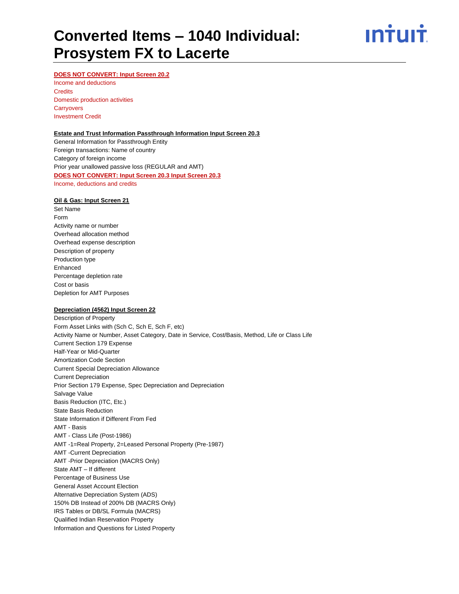ın<del>i</del>uı<del>i</del>

#### **DOES NOT CONVERT: Input Screen 20.2**

Income and deductions **Credits** Domestic production activities **Carryovers** Investment Credit

#### **Estate and Trust Information Passthrough Information Input Screen 20.3**

General Information for Passthrough Entity Foreign transactions: Name of country Category of foreign income Prior year unallowed passive loss (REGULAR and AMT) **DOES NOT CONVERT: Input Screen 20.3 Input Screen 20.3** Income, deductions and credits

#### **Oil & Gas: Input Screen 21**

Set Name Form Activity name or number Overhead allocation method Overhead expense description Description of property Production type Enhanced Percentage depletion rate Cost or basis Depletion for AMT Purposes

#### **Depreciation (4562) Input Screen 22**

Description of Property Form Asset Links with (Sch C, Sch E, Sch F, etc) Activity Name or Number, Asset Category, Date in Service, Cost/Basis, Method, Life or Class Life Current Section 179 Expense Half-Year or Mid-Quarter Amortization Code Section Current Special Depreciation Allowance Current Depreciation Prior Section 179 Expense, Spec Depreciation and Depreciation Salvage Value Basis Reduction (ITC, Etc.) State Basis Reduction State Information if Different From Fed AMT - Basis AMT - Class Life (Post-1986) AMT -1=Real Property, 2=Leased Personal Property (Pre-1987) AMT -Current Depreciation AMT -Prior Depreciation (MACRS Only) State AMT – If different Percentage of Business Use General Asset Account Election Alternative Depreciation System (ADS) 150% DB Instead of 200% DB (MACRS Only) IRS Tables or DB/SL Formula (MACRS) Qualified Indian Reservation Property Information and Questions for Listed Property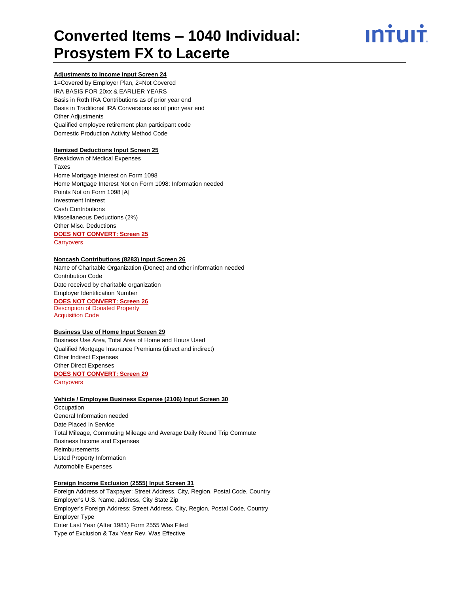## ın<del>i</del>uı<del>i</del>

#### **Adjustments to Income Input Screen 24**

1=Covered by Employer Plan, 2=Not Covered IRA BASIS FOR 20xx & EARLIER YEARS Basis in Roth IRA Contributions as of prior year end Basis in Traditional IRA Conversions as of prior year end Other Adjustments Qualified employee retirement plan participant code Domestic Production Activity Method Code

#### **Itemized Deductions Input Screen 25**

Breakdown of Medical Expenses Taxes Home Mortgage Interest on Form 1098 Home Mortgage Interest Not on Form 1098: Information needed Points Not on Form 1098 [A] Investment Interest Cash Contributions Miscellaneous Deductions (2%) Other Misc. Deductions **DOES NOT CONVERT: Screen 25 Carryovers** 

#### **Noncash Contributions (8283) Input Screen 26**

Name of Charitable Organization (Donee) and other information needed Contribution Code Date received by charitable organization Employer Identification Number **DOES NOT CONVERT: Screen 26** Description of Donated Property Acquisition Code

#### **Business Use of Home Input Screen 29**

Business Use Area, Total Area of Home and Hours Used Qualified Mortgage Insurance Premiums (direct and indirect) Other Indirect Expenses Other Direct Expenses **DOES NOT CONVERT: Screen 29 Carryovers** 

#### **Vehicle / Employee Business Expense (2106) Input Screen 30**

**Occupation** General Information needed Date Placed in Service Total Mileage, Commuting Mileage and Average Daily Round Trip Commute Business Income and Expenses Reimbursements Listed Property Information Automobile Expenses

#### **Foreign Income Exclusion (2555) Input Screen 31**

Foreign Address of Taxpayer: Street Address, City, Region, Postal Code, Country Employer's U.S. Name, address, City State Zip Employer's Foreign Address: Street Address, City, Region, Postal Code, Country Employer Type Enter Last Year (After 1981) Form 2555 Was Filed Type of Exclusion & Tax Year Rev. Was Effective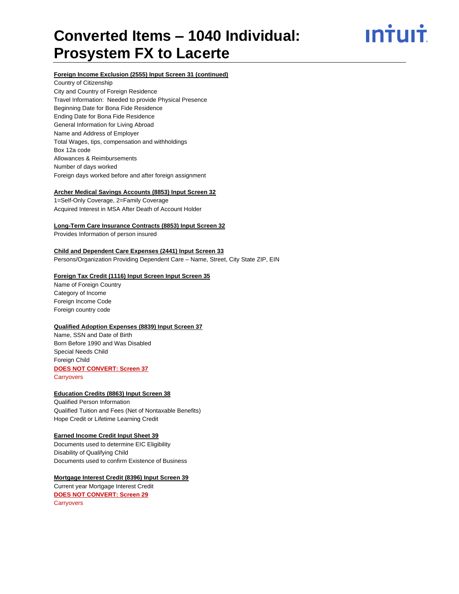## ın†uı†

#### **Foreign Income Exclusion (2555) Input Screen 31 (continued)**

Country of Citizenship City and Country of Foreign Residence Travel Information: Needed to provide Physical Presence Beginning Date for Bona Fide Residence Ending Date for Bona Fide Residence General Information for Living Abroad Name and Address of Employer Total Wages, tips, compensation and withholdings Box 12a code Allowances & Reimbursements Number of days worked Foreign days worked before and after foreign assignment

#### **Archer Medical Savings Accounts (8853) Input Screen 32**

1=Self-Only Coverage, 2=Family Coverage Acquired Interest in MSA After Death of Account Holder

#### **Long-Term Care Insurance Contracts (8853) Input Screen 32**

Provides Information of person insured

#### **Child and Dependent Care Expenses (2441) Input Screen 33**

Persons/Organization Providing Dependent Care – Name, Street, City State ZIP, EIN

#### **Foreign Tax Credit (1116) Input Screen Input Screen 35**

Name of Foreign Country Category of Income Foreign Income Code Foreign country code

#### **Qualified Adoption Expenses (8839) Input Screen 37**

Name, SSN and Date of Birth Born Before 1990 and Was Disabled Special Needs Child Foreign Child **DOES NOT CONVERT: Screen 37**

**Carryovers** 

#### **Education Credits (8863) Input Screen 38**

Qualified Person Information Qualified Tuition and Fees (Net of Nontaxable Benefits) Hope Credit or Lifetime Learning Credit

#### **Earned Income Credit Input Sheet 39**

Documents used to determine EIC Eligibility Disability of Qualifying Child Documents used to confirm Existence of Business

#### **Mortgage Interest Credit (8396) Input Screen 39**

Current year Mortgage Interest Credit **DOES NOT CONVERT: Screen 29 Carryovers**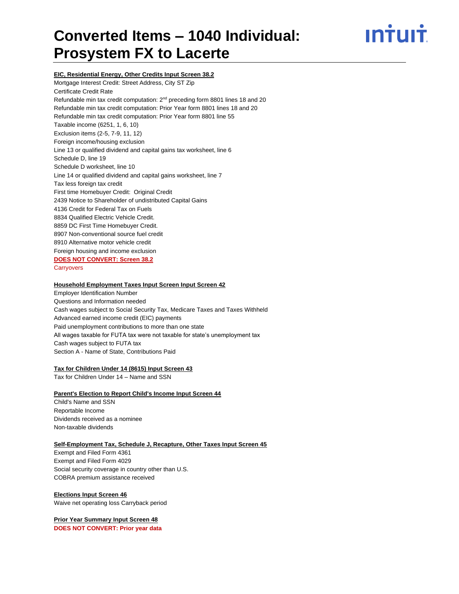ın<del>i</del>uı<del>i</del>

**EIC, Residential Energy, Other Credits Input Screen 38.2**

Mortgage Interest Credit: Street Address, City ST Zip Certificate Credit Rate Refundable min tax credit computation: 2<sup>nd</sup> preceding form 8801 lines 18 and 20 Refundable min tax credit computation: Prior Year form 8801 lines 18 and 20 Refundable min tax credit computation: Prior Year form 8801 line 55 Taxable income (6251, 1, 6, 10) Exclusion items (2-5, 7-9, 11, 12) Foreign income/housing exclusion Line 13 or qualified dividend and capital gains tax worksheet, line 6 Schedule D, line 19 Schedule D worksheet, line 10 Line 14 or qualified dividend and capital gains worksheet, line 7 Tax less foreign tax credit First time Homebuyer Credit: Original Credit 2439 Notice to Shareholder of undistributed Capital Gains 4136 Credit for Federal Tax on Fuels 8834 Qualified Electric Vehicle Credit. 8859 DC First Time Homebuyer Credit. 8907 Non-conventional source fuel credit 8910 Alternative motor vehicle credit Foreign housing and income exclusion **DOES NOT CONVERT: Screen 38.2 Carryovers** 

#### **Household Employment Taxes Input Screen Input Screen 42**

Employer Identification Number Questions and Information needed Cash wages subject to Social Security Tax, Medicare Taxes and Taxes Withheld Advanced earned income credit (EIC) payments Paid unemployment contributions to more than one state All wages taxable for FUTA tax were not taxable for state's unemployment tax Cash wages subject to FUTA tax Section A - Name of State, Contributions Paid

#### **Tax for Children Under 14 (8615) Input Screen 43**

Tax for Children Under 14 – Name and SSN

#### **Parent's Election to Report Child's Income Input Screen 44**

Child's Name and SSN Reportable Income Dividends received as a nominee Non-taxable dividends

#### **Self-Employment Tax, Schedule J, Recapture, Other Taxes Input Screen 45**

Exempt and Filed Form 4361 Exempt and Filed Form 4029 Social security coverage in country other than U.S. COBRA premium assistance received

#### **Elections Input Screen 46**

Waive net operating loss Carryback period

#### **Prior Year Summary Input Screen 48**

**DOES NOT CONVERT: Prior year data**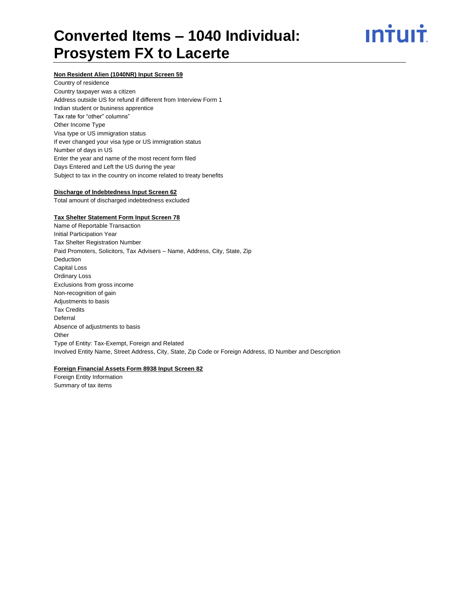

#### **Non Resident Alien (1040NR) Input Screen 59**

Country of residence Country taxpayer was a citizen Address outside US for refund if different from Interview Form 1 Indian student or business apprentice Tax rate for "other" columns" Other Income Type Visa type or US immigration status If ever changed your visa type or US immigration status Number of days in US Enter the year and name of the most recent form filed Days Entered and Left the US during the year Subject to tax in the country on income related to treaty benefits

#### **Discharge of Indebtedness Input Screen 62**

Total amount of discharged indebtedness excluded

#### **Tax Shelter Statement Form Input Screen 78**

Name of Reportable Transaction Initial Participation Year Tax Shelter Registration Number Paid Promoters, Solicitors, Tax Advisers – Name, Address, City, State, Zip Deduction Capital Loss Ordinary Loss Exclusions from gross income Non-recognition of gain Adjustments to basis Tax Credits Deferral Absence of adjustments to basis **Other** Type of Entity: Tax-Exempt, Foreign and Related Involved Entity Name, Street Address, City, State, Zip Code or Foreign Address, ID Number and Description

#### **Foreign Financial Assets Form 8938 Input Screen 82**

Foreign Entity Information Summary of tax items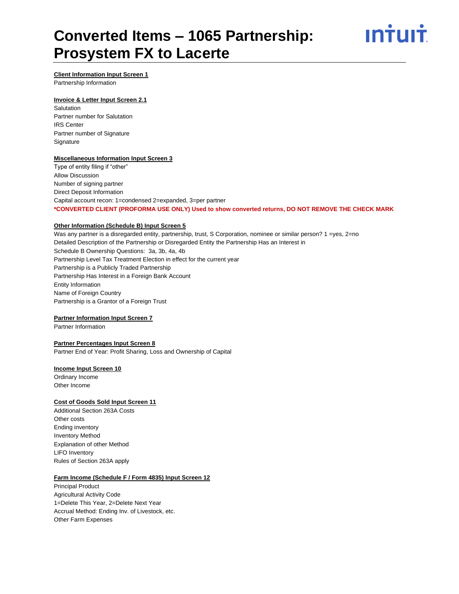

#### **Client Information Input Screen 1**

Partnership Information

#### **Invoice & Letter Input Screen 2.1**

Salutation Partner number for Salutation IRS Center Partner number of Signature **Signature** 

#### **Miscellaneous Information Input Screen 3**

Type of entity filing if "other" Allow Discussion Number of signing partner Direct Deposit Information Capital account recon: 1=condensed 2=expanded, 3=per partner **\*CONVERTED CLIENT (PROFORMA USE ONLY) Used to show converted returns, DO NOT REMOVE THE CHECK MARK**

#### **Other Information (Schedule B) Input Screen 5**

Was any partner is a disregarded entity, partnership, trust, S Corporation, nominee or similar person? 1 =yes, 2=no Detailed Description of the Partnership or Disregarded Entity the Partnership Has an Interest in Schedule B Ownership Questions: 3a, 3b, 4a, 4b Partnership Level Tax Treatment Election in effect for the current year Partnership is a Publicly Traded Partnership Partnership Has Interest in a Foreign Bank Account Entity Information Name of Foreign Country Partnership is a Grantor of a Foreign Trust

#### **Partner Information Input Screen 7**

Partner Information

#### **Partner Percentages Input Screen 8**

Partner End of Year: Profit Sharing, Loss and Ownership of Capital

#### **Income Input Screen 10**

Ordinary Income Other Income

#### **Cost of Goods Sold Input Screen 11**

Additional Section 263A Costs Other costs Ending inventory Inventory Method Explanation of other Method LIFO Inventory Rules of Section 263A apply

#### **Farm Income (Schedule F / Form 4835) Input Screen 12**

Principal Product Agricultural Activity Code 1=Delete This Year, 2=Delete Next Year Accrual Method: Ending Inv. of Livestock, etc. Other Farm Expenses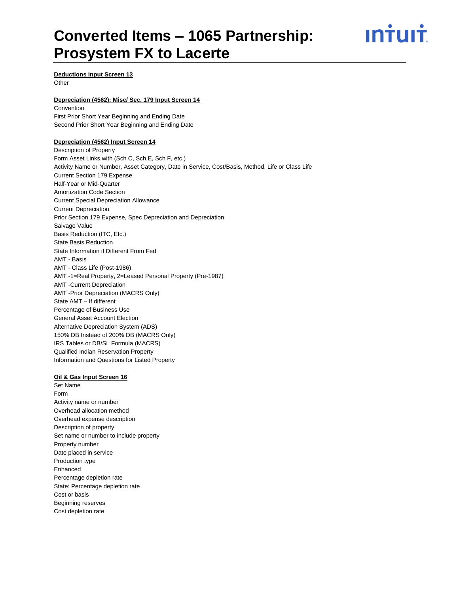## ın†uı†

#### **Deductions Input Screen 13**

**Other** 

#### **Depreciation (4562): Misc/ Sec. 179 Input Screen 14**

Convention First Prior Short Year Beginning and Ending Date Second Prior Short Year Beginning and Ending Date

#### **Depreciation (4562) Input Screen 14**

Description of Property Form Asset Links with (Sch C, Sch E, Sch F, etc.) Activity Name or Number, Asset Category, Date in Service, Cost/Basis, Method, Life or Class Life Current Section 179 Expense Half-Year or Mid-Quarter Amortization Code Section Current Special Depreciation Allowance Current Depreciation Prior Section 179 Expense, Spec Depreciation and Depreciation Salvage Value Basis Reduction (ITC, Etc.) State Basis Reduction State Information if Different From Fed AMT - Basis AMT - Class Life (Post-1986) AMT -1=Real Property, 2=Leased Personal Property (Pre-1987) AMT -Current Depreciation AMT -Prior Depreciation (MACRS Only) State AMT – If different Percentage of Business Use General Asset Account Election Alternative Depreciation System (ADS) 150% DB Instead of 200% DB (MACRS Only) IRS Tables or DB/SL Formula (MACRS) Qualified Indian Reservation Property Information and Questions for Listed Property

#### **Oil & Gas Input Screen 16**

Set Name Form Activity name or number Overhead allocation method Overhead expense description Description of property Set name or number to include property Property number Date placed in service Production type Enhanced Percentage depletion rate State: Percentage depletion rate Cost or basis Beginning reserves Cost depletion rate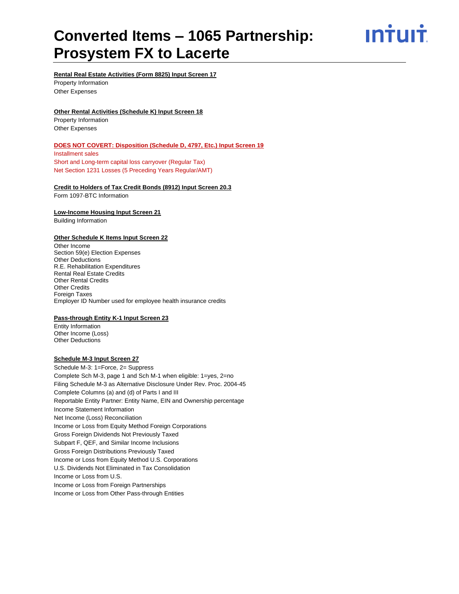ın†uı†

**Rental Real Estate Activities (Form 8825) Input Screen 17**

Property Information Other Expenses

#### **Other Rental Activities (Schedule K) Input Screen 18**

Property Information Other Expenses

#### **DOES NOT COVERT: Disposition (Schedule D, 4797, Etc.) Input Screen 19**

Installment sales Short and Long-term capital loss carryover (Regular Tax) Net Section 1231 Losses (5 Preceding Years Regular/AMT)

#### **Credit to Holders of Tax Credit Bonds (8912) Input Screen 20.3**

Form 1097-BTC Information

#### **Low-Income Housing Input Screen 21** Building Information

#### **Other Schedule K Items Input Screen 22**

Other Income Section 59(e) Election Expenses Other Deductions R.E. Rehabilitation Expenditures Rental Real Estate Credits Other Rental Credits Other Credits Foreign Taxes Employer ID Number used for employee health insurance credits

#### **Pass-through Entity K-1 Input Screen 23**

Entity Information Other Income (Loss) Other Deductions

#### **Schedule M-3 Input Screen 27**

Schedule M-3: 1=Force, 2= Suppress Complete Sch M-3, page 1 and Sch M-1 when eligible: 1=yes, 2=no Filing Schedule M-3 as Alternative Disclosure Under Rev. Proc. 2004-45 Complete Columns (a) and (d) of Parts I and III Reportable Entity Partner: Entity Name, EIN and Ownership percentage Income Statement Information Net Income (Loss) Reconciliation Income or Loss from Equity Method Foreign Corporations Gross Foreign Dividends Not Previously Taxed Subpart F, QEF, and Similar Income Inclusions Gross Foreign Distributions Previously Taxed Income or Loss from Equity Method U.S. Corporations U.S. Dividends Not Eliminated in Tax Consolidation Income or Loss from U.S. Income or Loss from Foreign Partnerships Income or Loss from Other Pass-through Entities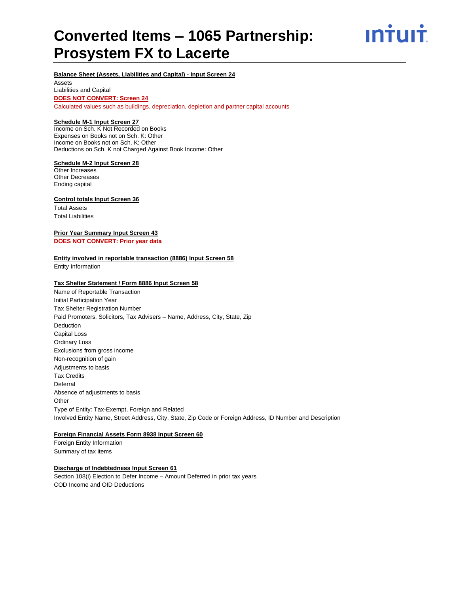ın†uı†

#### **Balance Sheet (Assets, Liabilities and Capital) - Input Screen 24**

Assets Liabilities and Capital **DOES NOT CONVERT: Screen 24** Calculated values such as buildings, depreciation, depletion and partner capital accounts

#### **Schedule M-1 Input Screen 27**

Income on Sch. K Not Recorded on Books Expenses on Books not on Sch. K: Other Income on Books not on Sch. K: Other Deductions on Sch. K not Charged Against Book Income: Other

#### **Schedule M-2 Input Screen 28**

Other Increases Other Decreases Ending capital

#### **Control totals Input Screen 36**

Total Assets Total Liabilities

#### **Prior Year Summary Input Screen 43 DOES NOT CONVERT: Prior year data**

#### **Entity involved in reportable transaction (8886) Input Screen 58**

Entity Information

#### **Tax Shelter Statement / Form 8886 Input Screen 58**

Name of Reportable Transaction Initial Participation Year Tax Shelter Registration Number Paid Promoters, Solicitors, Tax Advisers – Name, Address, City, State, Zip Deduction Capital Loss Ordinary Loss Exclusions from gross income Non-recognition of gain Adjustments to basis Tax Credits Deferral Absence of adjustments to basis **Other** Type of Entity: Tax-Exempt, Foreign and Related Involved Entity Name, Street Address, City, State, Zip Code or Foreign Address, ID Number and Description

#### **Foreign Financial Assets Form 8938 Input Screen 60**

Foreign Entity Information Summary of tax items

#### **Discharge of Indebtedness Input Screen 61**

Section 108(i) Election to Defer Income – Amount Deferred in prior tax years COD Income and OID Deductions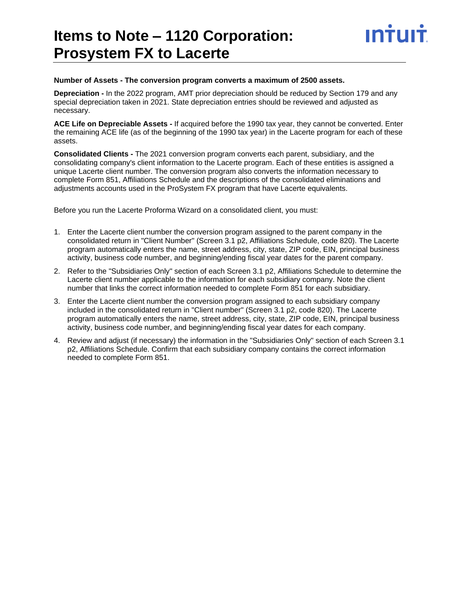### **Items to Note – 1120 Corporation: Prosystem FX to Lacerte**

### **Number of Assets - The conversion program converts a maximum of 2500 assets.**

**Depreciation -** In the 2022 program, AMT prior depreciation should be reduced by Section 179 and any special depreciation taken in 2021. State depreciation entries should be reviewed and adjusted as necessary.

INŤUIŤ

**ACE Life on Depreciable Assets -** If acquired before the 1990 tax year, they cannot be converted. Enter the remaining ACE life (as of the beginning of the 1990 tax year) in the Lacerte program for each of these assets.

**Consolidated Clients -** The 2021 conversion program converts each parent, subsidiary, and the consolidating company's client information to the Lacerte program. Each of these entities is assigned a unique Lacerte client number. The conversion program also converts the information necessary to complete Form 851, Affiliations Schedule and the descriptions of the consolidated eliminations and adjustments accounts used in the ProSystem FX program that have Lacerte equivalents.

Before you run the Lacerte Proforma Wizard on a consolidated client, you must:

- 1. Enter the Lacerte client number the conversion program assigned to the parent company in the consolidated return in "Client Number" (Screen 3.1 p2, Affiliations Schedule, code 820). The Lacerte program automatically enters the name, street address, city, state, ZIP code, EIN, principal business activity, business code number, and beginning/ending fiscal year dates for the parent company.
- 2. Refer to the "Subsidiaries Only" section of each Screen 3.1 p2, Affiliations Schedule to determine the Lacerte client number applicable to the information for each subsidiary company. Note the client number that links the correct information needed to complete Form 851 for each subsidiary.
- 3. Enter the Lacerte client number the conversion program assigned to each subsidiary company included in the consolidated return in "Client number" (Screen 3.1 p2, code 820). The Lacerte program automatically enters the name, street address, city, state, ZIP code, EIN, principal business activity, business code number, and beginning/ending fiscal year dates for each company.
- 4. Review and adjust (if necessary) the information in the "Subsidiaries Only" section of each Screen 3.1 p2, Affiliations Schedule. Confirm that each subsidiary company contains the correct information needed to complete Form 851.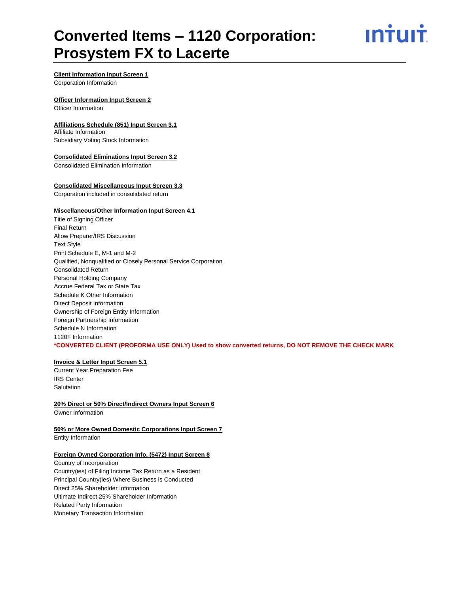ın†uı†

#### **Client Information Input Screen 1**

Corporation Information

#### **Officer Information Input Screen 2**

Officer Information

#### **Affiliations Schedule (851) Input Screen 3.1**

Affiliate Information Subsidiary Voting Stock Information

#### **Consolidated Eliminations Input Screen 3.2**

Consolidated Elimination Information

#### **Consolidated Miscellaneous Input Screen 3.3**

Corporation included in consolidated return

#### **Miscellaneous/Other Information Input Screen 4.1**

Title of Signing Officer Final Return Allow Preparer/IRS Discussion Text Style Print Schedule E, M-1 and M-2 Qualified, Nonqualified or Closely Personal Service Corporation Consolidated Return Personal Holding Company Accrue Federal Tax or State Tax Schedule K Other Information Direct Deposit Information Ownership of Foreign Entity Information Foreign Partnership Information Schedule N Information 1120F Information **\*CONVERTED CLIENT (PROFORMA USE ONLY) Used to show converted returns, DO NOT REMOVE THE CHECK MARK**

#### **Invoice & Letter Input Screen 5.1**

Current Year Preparation Fee IRS Center Salutation

#### **20% Direct or 50% Direct/Indirect Owners Input Screen 6** Owner Information

**50% or More Owned Domestic Corporations Input Screen 7**

Entity Information

#### **Foreign Owned Corporation Info. (5472) Input Screen 8**

Country of Incorporation Country(ies) of Filing Income Tax Return as a Resident Principal Country(ies) Where Business is Conducted Direct 25% Shareholder Information Ultimate Indirect 25% Shareholder Information Related Party Information Monetary Transaction Information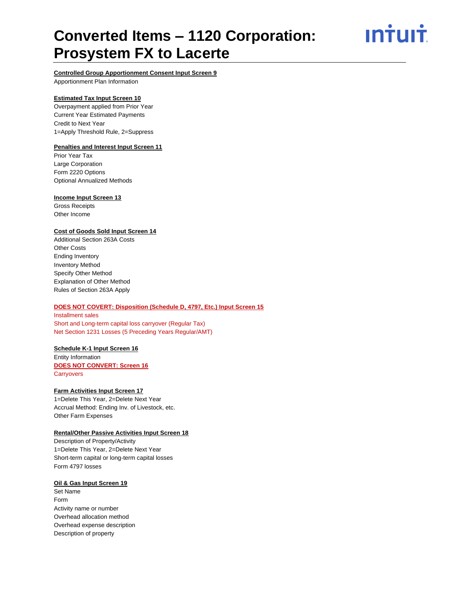ın<del>i</del>uı<del>i</del>



Apportionment Plan Information

#### **Estimated Tax Input Screen 10**

Overpayment applied from Prior Year Current Year Estimated Payments Credit to Next Year 1=Apply Threshold Rule, 2=Suppress

#### **Penalties and Interest Input Screen 11**

Prior Year Tax Large Corporation Form 2220 Options Optional Annualized Methods

#### **Income Input Screen 13**

Gross Receipts Other Income

#### **Cost of Goods Sold Input Screen 14**

Additional Section 263A Costs Other Costs Ending Inventory Inventory Method Specify Other Method Explanation of Other Method Rules of Section 263A Apply

#### **DOES NOT COVERT: Disposition (Schedule D, 4797, Etc.) Input Screen 15**

Installment sales Short and Long-term capital loss carryover (Regular Tax) Net Section 1231 Losses (5 Preceding Years Regular/AMT)

#### **Schedule K-1 Input Screen 16**

Entity Information **DOES NOT CONVERT: Screen 16 Carryovers** 

#### **Farm Activities Input Screen 17**

1=Delete This Year, 2=Delete Next Year Accrual Method: Ending Inv. of Livestock, etc. Other Farm Expenses

#### **Rental/Other Passive Activities Input Screen 18**

Description of Property/Activity 1=Delete This Year, 2=Delete Next Year Short-term capital or long-term capital losses Form 4797 losses

#### **Oil & Gas Input Screen 19**

Set Name Form Activity name or number Overhead allocation method Overhead expense description Description of property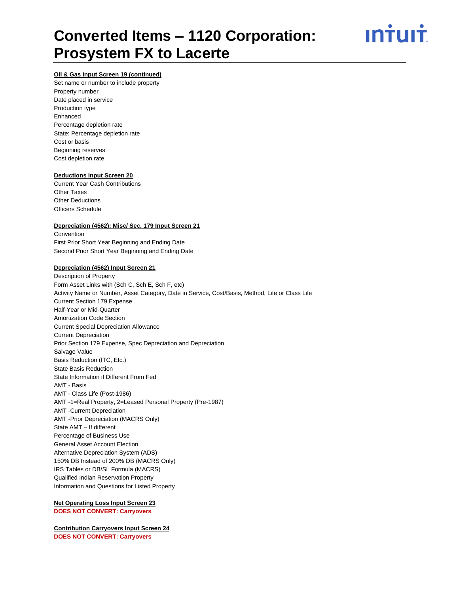

#### **Oil & Gas Input Screen 19 (continued)**

Set name or number to include property Property number Date placed in service Production type Enhanced Percentage depletion rate State: Percentage depletion rate Cost or basis Beginning reserves Cost depletion rate

#### **Deductions Input Screen 20**

Current Year Cash Contributions Other Taxes Other Deductions Officers Schedule

#### **Depreciation (4562): Misc/ Sec. 179 Input Screen 21**

Convention First Prior Short Year Beginning and Ending Date Second Prior Short Year Beginning and Ending Date

#### **Depreciation (4562) Input Screen 21**

Description of Property Form Asset Links with (Sch C, Sch E, Sch F, etc) Activity Name or Number, Asset Category, Date in Service, Cost/Basis, Method, Life or Class Life Current Section 179 Expense Half-Year or Mid-Quarter Amortization Code Section Current Special Depreciation Allowance Current Depreciation Prior Section 179 Expense, Spec Depreciation and Depreciation Salvage Value Basis Reduction (ITC, Etc.) State Basis Reduction State Information if Different From Fed AMT - Basis AMT - Class Life (Post-1986) AMT -1=Real Property, 2=Leased Personal Property (Pre-1987) AMT -Current Depreciation AMT -Prior Depreciation (MACRS Only) State AMT – If different Percentage of Business Use General Asset Account Election Alternative Depreciation System (ADS) 150% DB Instead of 200% DB (MACRS Only) IRS Tables or DB/SL Formula (MACRS) Qualified Indian Reservation Property Information and Questions for Listed Property

**Net Operating Loss Input Screen 23 DOES NOT CONVERT: Carryovers**

**Contribution Carryovers Input Screen 24 DOES NOT CONVERT: Carryovers**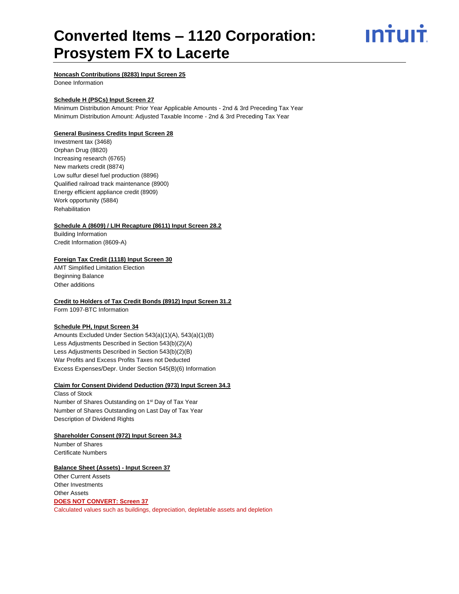ın†uı†

**Noncash Contributions (8283) Input Screen 25**

Donee Information

#### **Schedule H (PSCs) Input Screen 27**

Minimum Distribution Amount: Prior Year Applicable Amounts - 2nd & 3rd Preceding Tax Year Minimum Distribution Amount: Adjusted Taxable Income - 2nd & 3rd Preceding Tax Year

#### **General Business Credits Input Screen 28**

Investment tax (3468) Orphan Drug (8820) Increasing research (6765) New markets credit (8874) Low sulfur diesel fuel production (8896) Qualified railroad track maintenance (8900) Energy efficient appliance credit (8909) Work opportunity (5884) Rehabilitation

#### **Schedule A (8609) / LIH Recapture (8611) Input Screen 28.2**

Building Information Credit Information (8609-A)

#### **Foreign Tax Credit (1118) Input Screen 30**

AMT Simplified Limitation Election Beginning Balance Other additions

#### **Credit to Holders of Tax Credit Bonds (8912) Input Screen 31.2**

Form 1097-BTC Information

#### **Schedule PH, Input Screen 34**

Amounts Excluded Under Section 543(a)(1)(A), 543(a)(1)(B) Less Adjustments Described in Section 543(b)(2)(A) Less Adjustments Described in Section 543(b)(2)(B) War Profits and Excess Profits Taxes not Deducted Excess Expenses/Depr. Under Section 545(B)(6) Information

#### **Claim for Consent Dividend Deduction (973) Input Screen 34.3**

Class of Stock Number of Shares Outstanding on 1<sup>st</sup> Day of Tax Year Number of Shares Outstanding on Last Day of Tax Year Description of Dividend Rights

**Shareholder Consent (972) Input Screen 34.3** Number of Shares Certificate Numbers

#### **Balance Sheet (Assets) - Input Screen 37**

Other Current Assets Other Investments Other Assets **DOES NOT CONVERT: Screen 37** Calculated values such as buildings, depreciation, depletable assets and depletion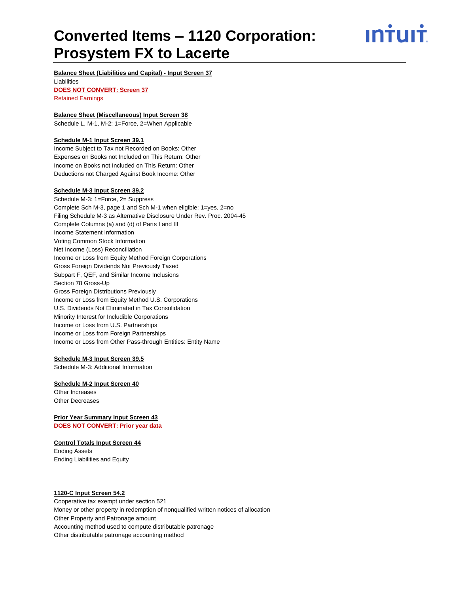ın<del>i</del>uı<del>i</del>

#### **Balance Sheet (Liabilities and Capital) - Input Screen 37**

Liabilities **DOES NOT CONVERT: Screen 37** Retained Earnings

#### **Balance Sheet (Miscellaneous) Input Screen 38**

Schedule L, M-1, M-2: 1=Force, 2=When Applicable

#### **Schedule M-1 Input Screen 39.1**

Income Subject to Tax not Recorded on Books: Other Expenses on Books not Included on This Return: Other Income on Books not Included on This Return: Other Deductions not Charged Against Book Income: Other

#### **Schedule M-3 Input Screen 39.2**

Schedule M-3: 1=Force, 2= Suppress Complete Sch M-3, page 1 and Sch M-1 when eligible: 1=yes, 2=no Filing Schedule M-3 as Alternative Disclosure Under Rev. Proc. 2004-45 Complete Columns (a) and (d) of Parts I and III Income Statement Information Voting Common Stock Information Net Income (Loss) Reconciliation Income or Loss from Equity Method Foreign Corporations Gross Foreign Dividends Not Previously Taxed Subpart F, QEF, and Similar Income Inclusions Section 78 Gross-Up Gross Foreign Distributions Previously Income or Loss from Equity Method U.S. Corporations U.S. Dividends Not Eliminated in Tax Consolidation Minority Interest for Includible Corporations Income or Loss from U.S. Partnerships Income or Loss from Foreign Partnerships Income or Loss from Other Pass-through Entities: Entity Name

#### **Schedule M-3 Input Screen 39.5**

Schedule M-3: Additional Information

#### **Schedule M-2 Input Screen 40**

Other Increases Other Decreases

**Prior Year Summary Input Screen 43 DOES NOT CONVERT: Prior year data**

#### **Control Totals Input Screen 44**

Ending Assets Ending Liabilities and Equity

#### **1120-C Input Screen 54.2**

Cooperative tax exempt under section 521 Money or other property in redemption of nonqualified written notices of allocation Other Property and Patronage amount Accounting method used to compute distributable patronage Other distributable patronage accounting method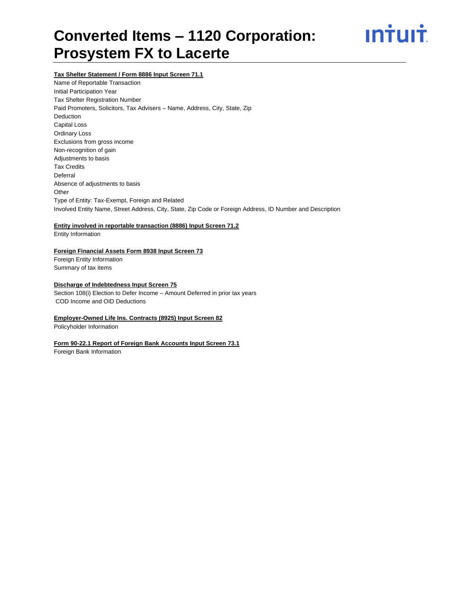

#### **Tax Shelter Statement / Form 8886 Input Screen 71.1**

Name of Reportable Transaction Initial Participation Year Tax Shelter Registration Number Paid Promoters, Solicitors, Tax Advisers – Name, Address, City, State, Zip Deduction Capital Loss Ordinary Loss Exclusions from gross income Non-recognition of gain Adjustments to basis Tax Credits Deferral Absence of adjustments to basis **Other** Type of Entity: Tax-Exempt, Foreign and Related Involved Entity Name, Street Address, City, State, Zip Code or Foreign Address, ID Number and Description

#### **Entity involved in reportable transaction (8886) Input Screen 71.2**

Entity Information

#### **Foreign Financial Assets Form 8938 Input Screen 73**

Foreign Entity Information Summary of tax items

#### **Discharge of Indebtedness Input Screen 75**

Section 108(i) Election to Defer Income – Amount Deferred in prior tax years COD Income and OID Deductions

#### **Employer-Owned Life Ins. Contracts (8925) Input Screen 82**

Policyholder Information

#### **Form 90-22.1 Report of Foreign Bank Accounts Input Screen 73.1**

Foreign Bank Information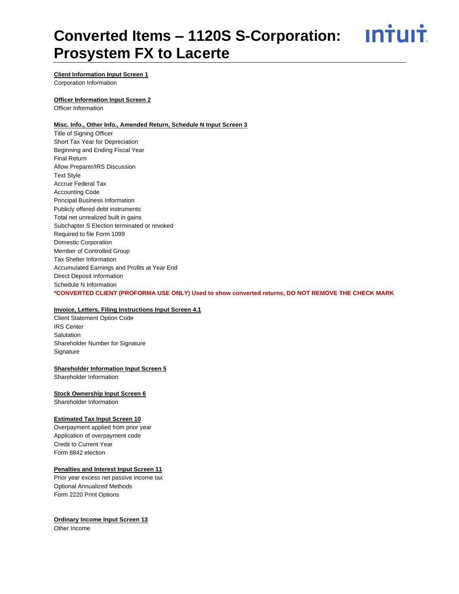<u>**Intuit**</u>

#### **Client Information Input Screen 1**

Corporation Information

#### **Officer Information Input Screen 2**

Officer Information

#### **Misc. Info., Other Info., Amended Return, Schedule N Input Screen 3**

Title of Signing Officer Short Tax Year for Depreciation Beginning and Ending Fiscal Year Final Return Allow Preparer/IRS Discussion Text Style Accrue Federal Tax Accounting Code Principal Business Information Publicly offered debt instruments Total net unrealized built in gains Subchapter S Election terminated or revoked Required to file Form 1099 Domestic Corporation Member of Controlled Group Tax Shelter Information Accumulated Earnings and Profits at Year End Direct Deposit Information Schedule N Information **\*CONVERTED CLIENT (PROFORMA USE ONLY) Used to show converted returns, DO NOT REMOVE THE CHECK MARK**

#### **Invoice, Letters, Filing Instructions Input Screen 4.1**

Client Statement Option Code IRS Center **Salutation** Shareholder Number for Signature **Signature** 

#### **Shareholder Information Input Screen 5**

Shareholder Information

#### **Stock Ownership Input Screen 6**

Shareholder Information

#### **Estimated Tax Input Screen 10**

Overpayment applied from prior year Application of overpayment code Credit to Current Year Form 8842 election

#### **Penalties and Interest Input Screen 11**

Prior year excess net passive income tax Optional Annualized Methods Form 2220 Print Options

#### **Ordinary Income Input Screen 13**

Other Income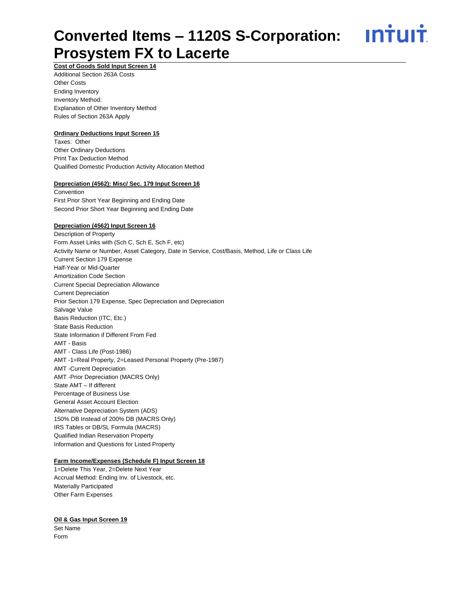<u>**INTUIT**</u>

#### **Cost of Goods Sold Input Screen 14** Additional Section 263A Costs Other Costs Ending Inventory Inventory Method: Explanation of Other Inventory Method Rules of Section 263A Apply

#### **Ordinary Deductions Input Screen 15**

Taxes: Other Other Ordinary Deductions Print Tax Deduction Method Qualified Domestic Production Activity Allocation Method

#### **Depreciation (4562): Misc/ Sec. 179 Input Screen 16**

**Convention** First Prior Short Year Beginning and Ending Date Second Prior Short Year Beginning and Ending Date

#### **Depreciation (4562) Input Screen 16**

Description of Property Form Asset Links with (Sch C, Sch E, Sch F, etc) Activity Name or Number, Asset Category, Date in Service, Cost/Basis, Method, Life or Class Life Current Section 179 Expense Half-Year or Mid-Quarter Amortization Code Section Current Special Depreciation Allowance Current Depreciation Prior Section 179 Expense, Spec Depreciation and Depreciation Salvage Value Basis Reduction (ITC, Etc.) State Basis Reduction State Information if Different From Fed AMT - Basis AMT - Class Life (Post-1986) AMT -1=Real Property, 2=Leased Personal Property (Pre-1987) AMT -Current Depreciation AMT -Prior Depreciation (MACRS Only) State AMT – If different Percentage of Business Use General Asset Account Election Alternative Depreciation System (ADS) 150% DB Instead of 200% DB (MACRS Only) IRS Tables or DB/SL Formula (MACRS) Qualified Indian Reservation Property Information and Questions for Listed Property

#### **Farm Income/Expenses (Schedule F) Input Screen 18**

1=Delete This Year, 2=Delete Next Year Accrual Method: Ending Inv. of Livestock, etc. Materially Participated Other Farm Expenses

#### **Oil & Gas Input Screen 19**

Set Name Form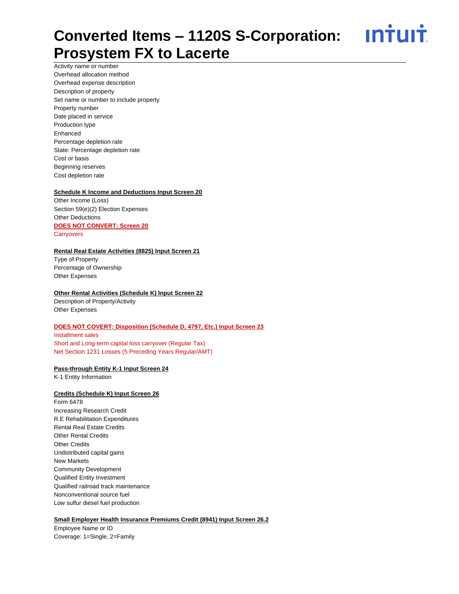<u>**INTUIT**</u>

Activity name or number Overhead allocation method Overhead expense description Description of property Set name or number to include property Property number Date placed in service Production type Enhanced Percentage depletion rate State: Percentage depletion rate Cost or basis Beginning reserves Cost depletion rate

#### **Schedule K Income and Deductions Input Screen 20**

Other Income (Loss) Section 59(e)(2) Election Expenses Other Deductions **DOES NOT CONVERT: Screen 20 Carryovers** 

#### **Rental Real Estate Activities (8825) Input Screen 21**

Type of Property Percentage of Ownership Other Expenses

#### **Other Rental Activities (Schedule K) Input Screen 22**

Description of Property/Activity Other Expenses

#### **DOES NOT COVERT: Disposition (Schedule D, 4797, Etc.) Input Screen 23**

Installment sales Short and Long-term capital loss carryover (Regular Tax) Net Section 1231 Losses (5 Preceding Years Regular/AMT)

#### **Pass-through Entity K-1 Input Screen 24**

K-1 Entity Information

#### **Credits (Schedule K) Input Screen 26**

Form 6478 Increasing Research Credit R.E Rehabilitation Expenditures Rental Real Estate Credits Other Rental Credits Other Credits Undistributed capital gains New Markets Community Development Qualified Entity Investment Qualified railroad track maintenance Nonconventional source fuel Low sulfur diesel fuel production

#### **Small Employer Health Insurance Premiums Credit (8941) Input Screen 26.2**

Employee Name or ID Coverage: 1=Single, 2=Family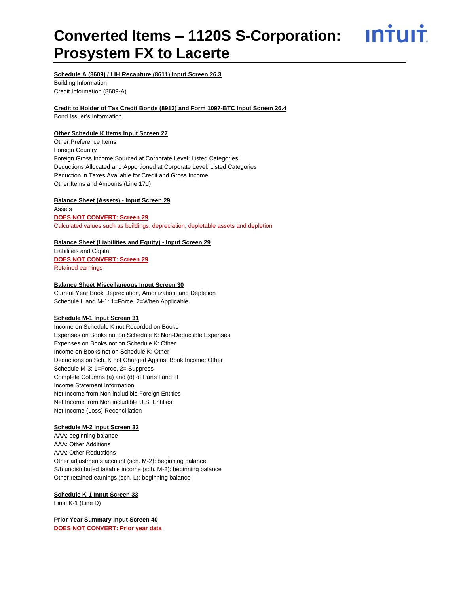<u>**INTUIT**</u>

#### **Schedule A (8609) / LIH Recapture (8611) Input Screen 26.3**

Building Information Credit Information (8609-A)

#### **Credit to Holder of Tax Credit Bonds (8912) and Form 1097-BTC Input Screen 26.4**

Bond Issuer's Information

#### **Other Schedule K Items Input Screen 27**

Other Preference Items Foreign Country Foreign Gross Income Sourced at Corporate Level: Listed Categories Deductions Allocated and Apportioned at Corporate Level: Listed Categories Reduction in Taxes Available for Credit and Gross Income Other Items and Amounts (Line 17d)

#### **Balance Sheet (Assets) - Input Screen 29**

Assets **DOES NOT CONVERT: Screen 29** Calculated values such as buildings, depreciation, depletable assets and depletion

#### **Balance Sheet (Liabilities and Equity) - Input Screen 29**

Liabilities and Capital **DOES NOT CONVERT: Screen 29** Retained earnings

#### **Balance Sheet Miscellaneous Input Screen 30**

Current Year Book Depreciation, Amortization, and Depletion Schedule L and M-1: 1=Force, 2=When Applicable

#### **Schedule M-1 Input Screen 31**

Income on Schedule K not Recorded on Books Expenses on Books not on Schedule K: Non-Deductible Expenses Expenses on Books not on Schedule K: Other Income on Books not on Schedule K: Other Deductions on Sch. K not Charged Against Book Income: Other Schedule M-3: 1=Force, 2= Suppress Complete Columns (a) and (d) of Parts I and III Income Statement Information Net Income from Non includible Foreign Entities Net Income from Non includible U.S. Entities Net Income (Loss) Reconciliation

#### **Schedule M-2 Input Screen 32**

AAA: beginning balance AAA: Other Additions AAA: Other Reductions Other adjustments account (sch. M-2): beginning balance S/h undistributed taxable income (sch. M-2): beginning balance Other retained earnings (sch. L): beginning balance

**Schedule K-1 Input Screen 33**  Final K-1 (Line D)

**Prior Year Summary Input Screen 40 DOES NOT CONVERT: Prior year data**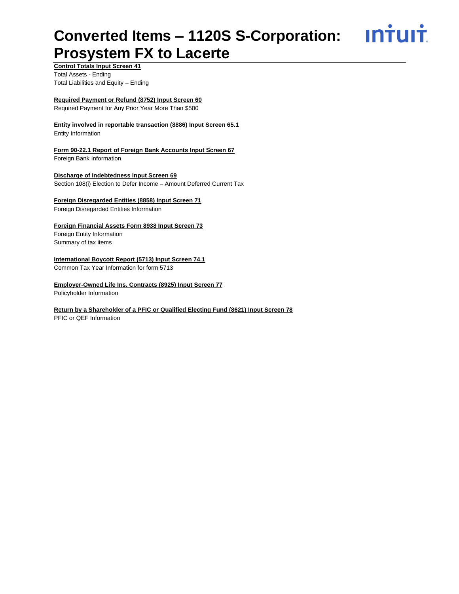<u>**Intuit**</u>

**Control Totals Input Screen 41** Total Assets - Ending Total Liabilities and Equity – Ending

#### **Required Payment or Refund (8752) Input Screen 60**

Required Payment for Any Prior Year More Than \$500

**Entity involved in reportable transaction (8886) Input Screen 65.1**

Entity Information

**Form 90-22.1 Report of Foreign Bank Accounts Input Screen 67** Foreign Bank Information

**Discharge of Indebtedness Input Screen 69** Section 108(i) Election to Defer Income – Amount Deferred Current Tax

**Foreign Disregarded Entities (8858) Input Screen 71** Foreign Disregarded Entities Information

**Foreign Financial Assets Form 8938 Input Screen 73** Foreign Entity Information

Summary of tax items

#### **International Boycott Report (5713) Input Screen 74.1**

Common Tax Year Information for form 5713

**Employer-Owned Life Ins. Contracts (8925) Input Screen 77**

Policyholder Information

#### **Return by a Shareholder of a PFIC or Qualified Electing Fund (8621) Input Screen 78**

PFIC or QEF Information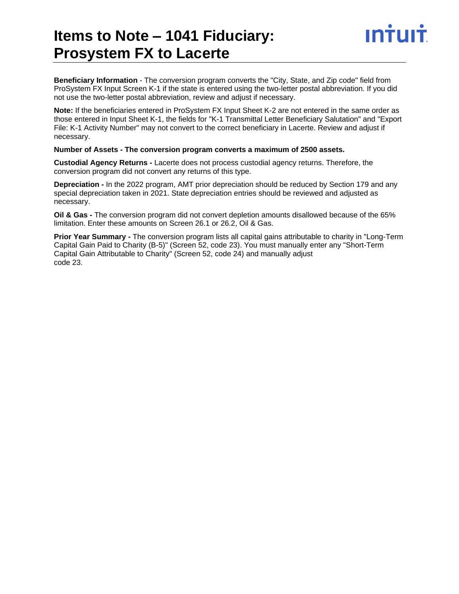### **Items to Note – 1041 Fiduciary: Prosystem FX to Lacerte**

**Beneficiary Information** - The conversion program converts the "City, State, and Zip code" field from ProSystem FX Input Screen K-1 if the state is entered using the two-letter postal abbreviation. If you did not use the two-letter postal abbreviation, review and adjust if necessary.

**Note:** If the beneficiaries entered in ProSystem FX Input Sheet K-2 are not entered in the same order as those entered in Input Sheet K-1, the fields for "K-1 Transmittal Letter Beneficiary Salutation" and "Export File: K-1 Activity Number" may not convert to the correct beneficiary in Lacerte. Review and adjust if necessary.

#### **Number of Assets - The conversion program converts a maximum of 2500 assets.**

**Custodial Agency Returns -** Lacerte does not process custodial agency returns. Therefore, the conversion program did not convert any returns of this type.

**Depreciation -** In the 2022 program, AMT prior depreciation should be reduced by Section 179 and any special depreciation taken in 2021. State depreciation entries should be reviewed and adjusted as necessary.

**Oil & Gas -** The conversion program did not convert depletion amounts disallowed because of the 65% limitation. Enter these amounts on Screen 26.1 or 26.2, Oil & Gas.

**Prior Year Summary -** The conversion program lists all capital gains attributable to charity in "Long-Term Capital Gain Paid to Charity (B-5)" (Screen 52, code 23). You must manually enter any "Short-Term Capital Gain Attributable to Charity" (Screen 52, code 24) and manually adjust code 23.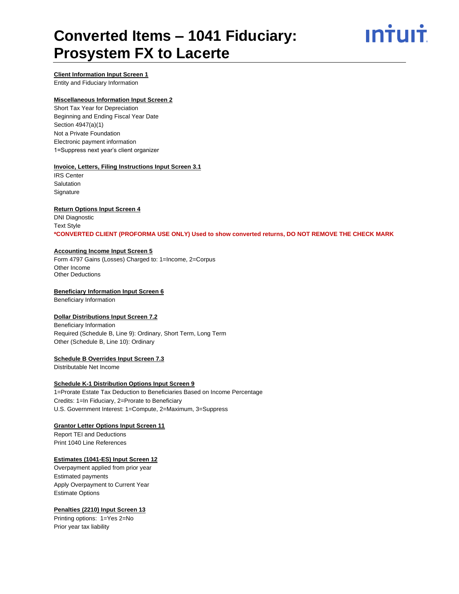## ın<del>i</del>uı<del>i</del>

#### **Client Information Input Screen 1**

Entity and Fiduciary Information

#### **Miscellaneous Information Input Screen 2**

Short Tax Year for Depreciation Beginning and Ending Fiscal Year Date Section 4947(a)(1) Not a Private Foundation Electronic payment information 1=Suppress next year's client organizer

#### **Invoice, Letters, Filing Instructions Input Screen 3.1**

IRS Center **Salutation Signature** 

#### **Return Options Input Screen 4**

DNI Diagnostic Text Style **\*CONVERTED CLIENT (PROFORMA USE ONLY) Used to show converted returns, DO NOT REMOVE THE CHECK MARK**

#### **Accounting Income Input Screen 5**

Form 4797 Gains (Losses) Charged to: 1=Income, 2=Corpus Other Income Other Deductions

#### **Beneficiary Information Input Screen 6**

Beneficiary Information

#### **Dollar Distributions Input Screen 7.2**

Beneficiary Information Required (Schedule B, Line 9): Ordinary, Short Term, Long Term Other (Schedule B, Line 10): Ordinary

#### **Schedule B Overrides Input Screen 7.3**

Distributable Net Income

#### **Schedule K-1 Distribution Options Input Screen 9**

1=Prorate Estate Tax Deduction to Beneficiaries Based on Income Percentage Credits: 1=In Fiduciary, 2=Prorate to Beneficiary U.S. Government Interest: 1=Compute, 2=Maximum, 3=Suppress

#### **Grantor Letter Options Input Screen 11**

Report TEI and Deductions Print 1040 Line References

#### **Estimates (1041-ES) Input Screen 12**

Overpayment applied from prior year Estimated payments Apply Overpayment to Current Year Estimate Options

#### **Penalties (2210) Input Screen 13**

Printing options: 1=Yes 2=No Prior year tax liability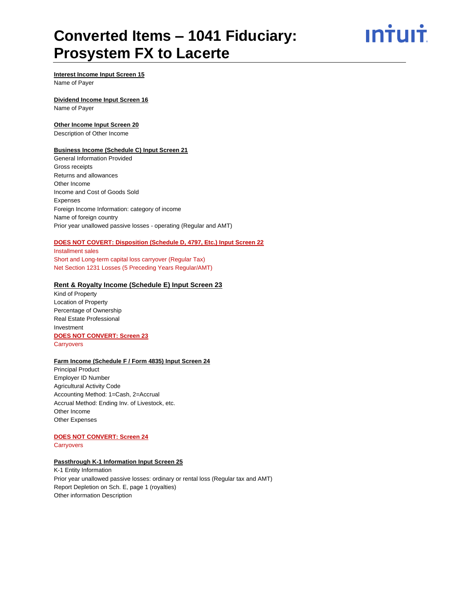ın†uı†

### **Interest Income Input Screen 15**

Name of Payer

#### **Dividend Income Input Screen 16**

Name of Payer

#### **Other Income Input Screen 20**

Description of Other Income

#### **Business Income (Schedule C) Input Screen 21**

General Information Provided Gross receipts Returns and allowances Other Income Income and Cost of Goods Sold Expenses Foreign Income Information: category of income Name of foreign country Prior year unallowed passive losses - operating (Regular and AMT)

#### **DOES NOT COVERT: Disposition (Schedule D, 4797, Etc.) Input Screen 22**

Installment sales Short and Long-term capital loss carryover (Regular Tax) Net Section 1231 Losses (5 Preceding Years Regular/AMT)

#### **Rent & Royalty Income (Schedule E) Input Screen 23**

Kind of Property Location of Property Percentage of Ownership Real Estate Professional Investment **DOES NOT CONVERT: Screen 23 Carryovers** 

#### **Farm Income (Schedule F / Form 4835) Input Screen 24**

Principal Product Employer ID Number Agricultural Activity Code Accounting Method: 1=Cash, 2=Accrual Accrual Method: Ending Inv. of Livestock, etc. Other Income Other Expenses

#### **DOES NOT CONVERT: Screen 24**

**Carryovers** 

#### **Passthrough K-1 Information Input Screen 25**

K-1 Entity Information Prior year unallowed passive losses: ordinary or rental loss (Regular tax and AMT) Report Depletion on Sch. E, page 1 (royalties) Other information Description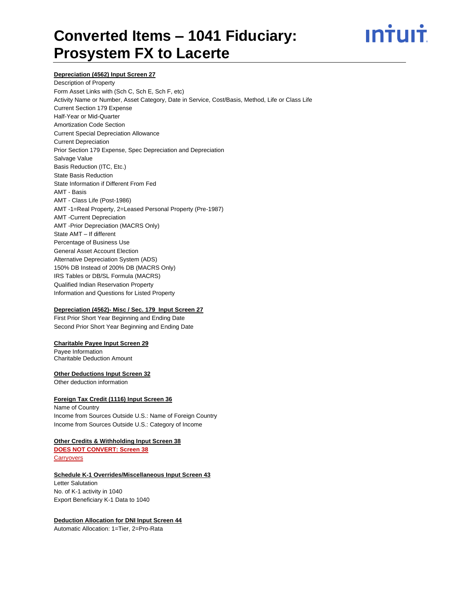# ın<del>i</del>uı<del>i</del>

#### **Depreciation (4562) Input Screen 27**

Description of Property Form Asset Links with (Sch C, Sch E, Sch F, etc) Activity Name or Number, Asset Category, Date in Service, Cost/Basis, Method, Life or Class Life Current Section 179 Expense Half-Year or Mid-Quarter Amortization Code Section Current Special Depreciation Allowance Current Depreciation Prior Section 179 Expense, Spec Depreciation and Depreciation Salvage Value Basis Reduction (ITC, Etc.) State Basis Reduction State Information if Different From Fed AMT - Basis AMT - Class Life (Post-1986) AMT -1=Real Property, 2=Leased Personal Property (Pre-1987) AMT -Current Depreciation AMT -Prior Depreciation (MACRS Only) State AMT – If different Percentage of Business Use General Asset Account Election Alternative Depreciation System (ADS) 150% DB Instead of 200% DB (MACRS Only) IRS Tables or DB/SL Formula (MACRS) Qualified Indian Reservation Property Information and Questions for Listed Property

#### **Depreciation (4562)- Misc / Sec. 179 Input Screen 27**

First Prior Short Year Beginning and Ending Date Second Prior Short Year Beginning and Ending Date

#### **Charitable Payee Input Screen 29**

Payee Information Charitable Deduction Amount

#### **Other Deductions Input Screen 32**

Other deduction information

#### **Foreign Tax Credit (1116) Input Screen 36**

Name of Country Income from Sources Outside U.S.: Name of Foreign Country Income from Sources Outside U.S.: Category of Income

#### **Other Credits & Withholding Input Screen 38**

**DOES NOT CONVERT: Screen 38 Carryovers** 

#### **Schedule K-1 Overrides/Miscellaneous Input Screen 43**

Letter Salutation No. of K-1 activity in 1040 Export Beneficiary K-1 Data to 1040

#### **Deduction Allocation for DNI Input Screen 44**

Automatic Allocation: 1=Tier, 2=Pro-Rata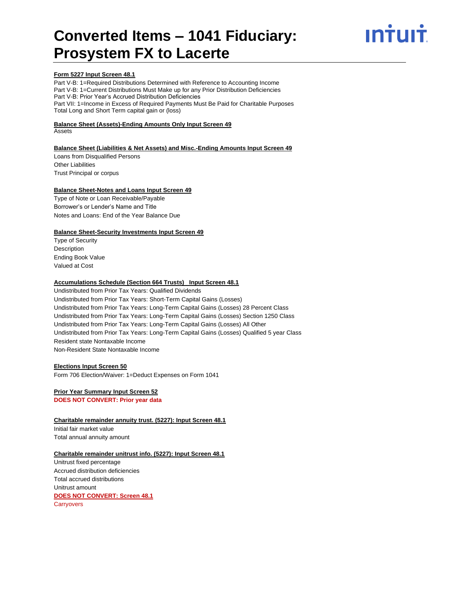# INŤUIŤ

#### **Form 5227 Input Screen 48.1**

Part V-B: 1=Required Distributions Determined with Reference to Accounting Income Part V-B: 1=Current Distributions Must Make up for any Prior Distribution Deficiencies Part V-B: Prior Year's Accrued Distribution Deficiencies Part VII: 1=Income in Excess of Required Payments Must Be Paid for Charitable Purposes Total Long and Short Term capital gain or (loss)

#### **Balance Sheet (Assets)-Ending Amounts Only Input Screen 49**

Assets

#### **Balance Sheet (Liabilities & Net Assets) and Misc.-Ending Amounts Input Screen 49**

Loans from Disqualified Persons Other Liabilities Trust Principal or corpus

#### **Balance Sheet-Notes and Loans Input Screen 49**

Type of Note or Loan Receivable/Payable Borrower's or Lender's Name and Title Notes and Loans: End of the Year Balance Due

#### **Balance Sheet-Security Investments Input Screen 49**

Type of Security Description Ending Book Value Valued at Cost

#### **Accumulations Schedule (Section 664 Trusts) Input Screen 48.1**

Undistributed from Prior Tax Years: Qualified Dividends Undistributed from Prior Tax Years: Short-Term Capital Gains (Losses) Undistributed from Prior Tax Years: Long-Term Capital Gains (Losses) 28 Percent Class Undistributed from Prior Tax Years: Long-Term Capital Gains (Losses) Section 1250 Class Undistributed from Prior Tax Years: Long-Term Capital Gains (Losses) All Other Undistributed from Prior Tax Years: Long-Term Capital Gains (Losses) Qualified 5 year Class Resident state Nontaxable Income Non-Resident State Nontaxable Income

#### **Elections Input Screen 50**

Form 706 Election/Waiver: 1=Deduct Expenses on Form 1041

#### **Prior Year Summary Input Screen 52 DOES NOT CONVERT: Prior year data**

**Charitable remainder annuity trust. (5227): Input Screen 48.1** Initial fair market value Total annual annuity amount

#### **Charitable remainder unitrust info. (5227): Input Screen 48.1**

Unitrust fixed percentage Accrued distribution deficiencies Total accrued distributions Unitrust amount **DOES NOT CONVERT: Screen 48.1 Carryovers**